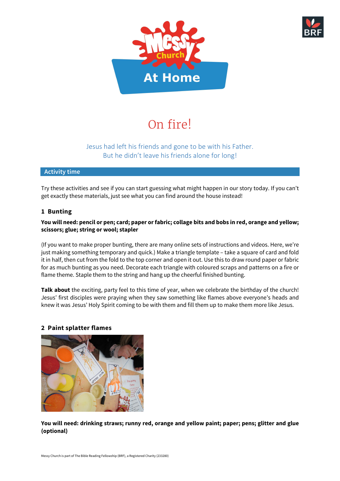



# On fire!

# Jesus had left his friends and gone to be with his Father. But he didn't leave his friends alone for long!

# **Activity time**

Try these activities and see if you can start guessing what might happen in our story today. If you can't get exactly these materials, just see what you can find around the house instead!

# **1 Bunting**

### **You will need: pencil or pen; card; paper or fabric; collage bits and bobs in red, orange and yellow; scissors; glue; string or wool; stapler**

(If you want to make proper bunting, there are many online sets of instructions and videos. Here, we're just making something temporary and quick.) Make a triangle template – take a square of card and fold it in half, then cut from the fold to the top corner and open it out. Use this to draw round paper or fabric for as much bunting as you need. Decorate each triangle with coloured scraps and patterns on a fire or flame theme. Staple them to the string and hang up the cheerful finished bunting.

**Talk about** the exciting, party feel to this time of year, when we celebrate the birthday of the church! Jesus' first disciples were praying when they saw something like flames above everyone's heads and knew it was Jesus' Holy Spirit coming to be with them and fill them up to make them more like Jesus.



# **2 Paint splatter flames**

**You will need: drinking straws; runny red, orange and yellow paint; paper; pens; glitter and glue (optional)**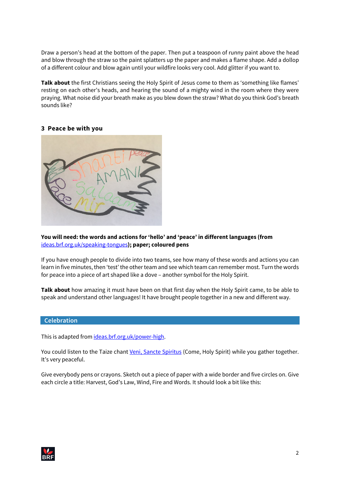Draw a person's head at the bottom of the paper. Then put a teaspoon of runny paint above the head and blow through the straw so the paint splatters up the paper and makes a flame shape. Add a dollop of a different colour and blow again until your wildfire looks very cool. Add glitter if you want to.

**Talk about** the first Christians seeing the Holy Spirit of Jesus come to them as 'something like flames' resting on each other's heads, and hearing the sound of a mighty wind in the room where they were praying. What noise did your breath make as you blew down the straw? What do you think God's breath sounds like?

#### **3 Peace be with you**



#### **You will need: the words and actions for 'hello' and 'peace' in different languages (from**  [ideas.brf.org.uk/speaking-tongues](https://ideas.brf.org.uk/speaking-tongues)**); paper; coloured pens**

If you have enough people to divide into two teams, see how many of these words and actions you can learn in five minutes, then 'test' the other team and see which team can remember most. Turn the words for peace into a piece of art shaped like a dove – another symbol for the Holy Spirit.

**Talk about** how amazing it must have been on that first day when the Holy Spirit came, to be able to speak and understand other languages! It have brought people together in a new and different way.

#### **Celebration**

This is adapted from [ideas.brf.org.uk/power-high](https://ideas.brf.org.uk/power-high).

You could listen to the Taize chant [Veni, Sancte Spiritus](https://www.youtube.com/watch?v=WmxXwAgkhWQ) (Come, Holy Spirit) while you gather together. It's very peaceful.

Give everybody pens or crayons. Sketch out a piece of paper with a wide border and five circles on. Give each circle a title: Harvest, God's Law, Wind, Fire and Words. It should look a bit like this:

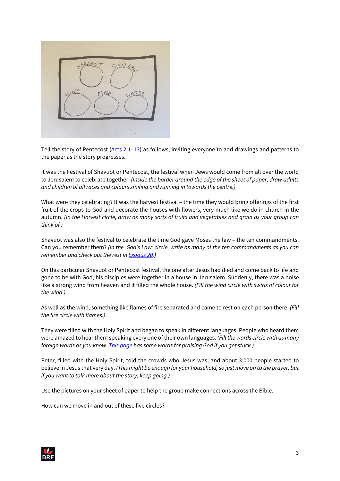

Tell the story of Pentecost [\(Acts 2:1–13\)](https://www.biblegateway.com/passage/?search=acts+2%3A1-13&version=NIVUK) as follows, inviting everyone to add drawings and patterns to the paper as the story progresses.

It was the Festival of Shavuot or Pentecost, the festival when Jews would come from all over the world to Jerusalem to celebrate together. *(Inside the border around the edge of the sheet of paper, draw adults and children of all races and colours smiling and running in towards the centre.)*

What were they celebrating? It was the harvest festival – the time they would bring offerings of the first fruit of the crops to God and decorate the houses with flowers, very much like we do in church in the autumn. *(In the Harvest circle, draw as many sorts of fruits and vegetables and grain as your group can think of.)*

Shavuot was also the festival to celebrate the time God gave Moses the law – the ten commandments. Can you remember them? *(In the 'God's Law' circle, write as many of the ten commandments as you can remember and check out the rest in [Exodus 20.](https://www.biblegateway.com/passage/?search=exodus+20&version=CEV))*

On this particular Shavuot or Pentecost festival, the one after Jesus had died and come back to life and gone to be with God, his disciples were together in a house in Jerusalem. Suddenly, there was a noise like a strong wind from heaven and it filled the whole house. *(Fill the wind circle with swirls of colour for the wind.)*

As well as the wind, something like flames of fire separated and came to rest on each person there. *(Fill the fire circle with flames.)*

They were filled with the Holy Spirit and began to speak in different languages. People who heard them were amazed to hear them speaking every one of their own languages. *(Fill the words circle with as many foreign words as you know. [This page](https://ideas.brf.org.uk/praying-world) has some words for praising God if you get stuck.)*

Peter, filled with the Holy Spirit, told the crowds who Jesus was, and about 3,000 people started to believe in Jesus that very day. *(This might be enough for your household, so just move on to the prayer, but if you want to talk more about the story, keep going.)*

Use the pictures on your sheet of paper to help the group make connections across the Bible.

How can we move in and out of these five circles?